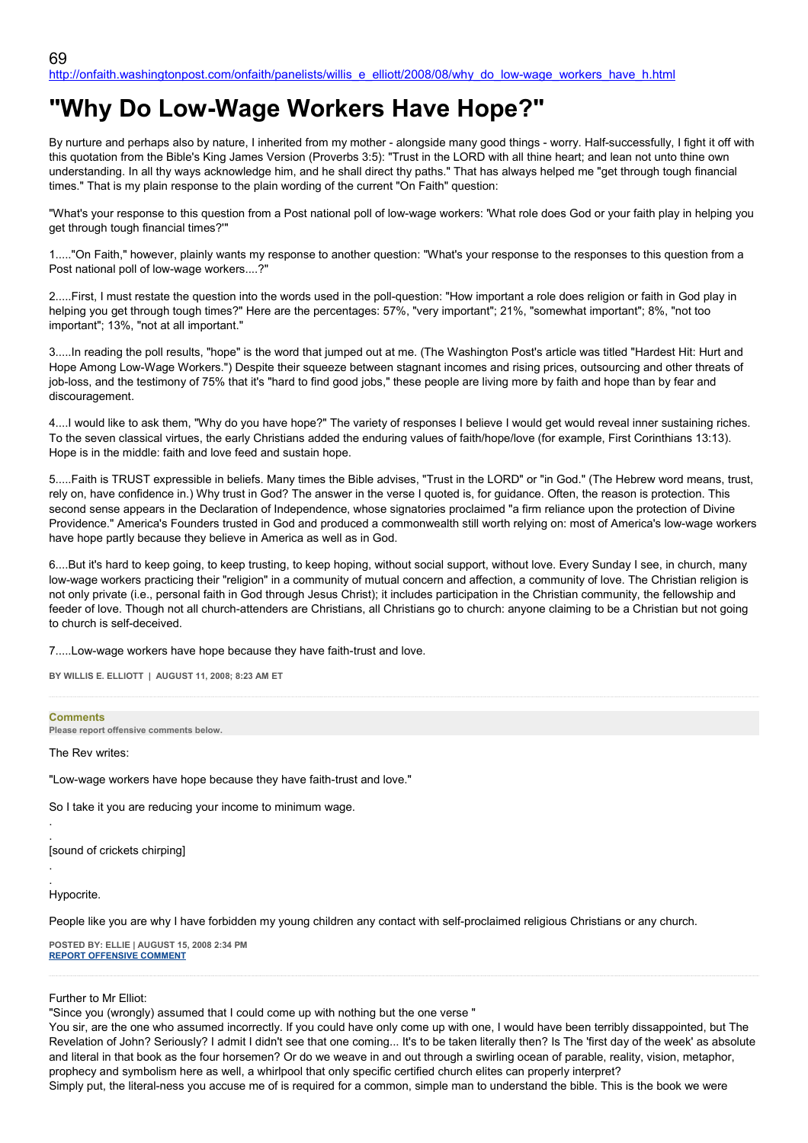# **"Why Do Low-Wage Workers Have Hope?"**

By nurture and perhaps also by nature, I inherited from my mother - alongside many good things - worry. Half-successfully, I fight it off with this quotation from the Bible's King James Version (Proverbs 3:5): "Trust in the LORD with all thine heart; and lean not unto thine own understanding. In all thy ways acknowledge him, and he shall direct thy paths." That has always helped me "get through tough financial times." That is my plain response to the plain wording of the current "On Faith" question:

"What's your response to this question from a Post national poll of low-wage workers: 'What role does God or your faith play in helping you get through tough financial times?'"

1....."On Faith," however, plainly wants my response to another question: "What's your response to the responses to this question from a Post national poll of low-wage workers....?"

2.....First, I must restate the question into the words used in the poll-question: "How important a role does religion or faith in God play in helping you get through tough times?" Here are the percentages: 57%, "very important"; 21%, "somewhat important"; 8%, "not too important"; 13%, "not at all important."

3.....In reading the poll results, "hope" is the word that jumped out at me. (The Washington Post's article was titled "Hardest Hit: Hurt and Hope Among Low-Wage Workers.") Despite their squeeze between stagnant incomes and rising prices, outsourcing and other threats of job-loss, and the testimony of 75% that it's "hard to find good jobs," these people are living more by faith and hope than by fear and discouragement.

4....I would like to ask them, "Why do you have hope?" The variety of responses I believe I would get would reveal inner sustaining riches. To the seven classical virtues, the early Christians added the enduring values of faith/hope/love (for example, First Corinthians 13:13). Hope is in the middle: faith and love feed and sustain hope.

5.....Faith is TRUST expressible in beliefs. Many times the Bible advises, "Trust in the LORD" or "in God." (The Hebrew word means, trust, rely on, have confidence in.) Why trust in God? The answer in the verse I quoted is, for guidance. Often, the reason is protection. This second sense appears in the Declaration of Independence, whose signatories proclaimed "a firm reliance upon the protection of Divine Providence." America's Founders trusted in God and produced a commonwealth still worth relying on: most of America's low-wage workers have hope partly because they believe in America as well as in God.

6....But it's hard to keep going, to keep trusting, to keep hoping, without social support, without love. Every Sunday I see, in church, many low-wage workers practicing their "religion" in a community of mutual concern and affection, a community of love. The Christian religion is not only private (i.e., personal faith in God through Jesus Christ); it includes participation in the Christian community, the fellowship and feeder of love. Though not all church-attenders are Christians, all Christians go to church: anyone claiming to be a Christian but not going to church is self-deceived.

7.....Low-wage workers have hope because they have faith-trust and love.

**BY WILLIS E. ELLIOTT | AUGUST 11, 2008; 8:23 AM ET**

# **Comments**

**Please report offensive comments below.**

The Rev writes:

"Low-wage workers have hope because they have faith-trust and love."

So I take it you are reducing your income to minimum wage.

. [sound of crickets chirping]

. Hypocrite.

.

.

People like you are why I have forbidden my young children any contact with self-proclaimed religious Christians or any church.

**POSTED BY: ELLIE | AUGUST 15, 2008 2:34 PM [REPORT OFFENSIVE COMMENT](mailto:blogs@washingtonpost.com?subject=On%20Faith%20Panelists%20Blog%20%20%7C%20%20Ellie%20%20%7C%20%20)**

Further to Mr Elliot:

"Since you (wrongly) assumed that I could come up with nothing but the one verse "

You sir, are the one who assumed incorrectly. If you could have only come up with one, I would have been terribly dissappointed, but The Revelation of John? Seriously? I admit I didn't see that one coming... It's to be taken literally then? Is The 'first day of the week' as absolute and literal in that book as the four horsemen? Or do we weave in and out through a swirling ocean of parable, reality, vision, metaphor, prophecy and symbolism here as well, a whirlpool that only specific certified church elites can properly interpret? Simply put, the literal-ness you accuse me of is required for a common, simple man to understand the bible. This is the book we were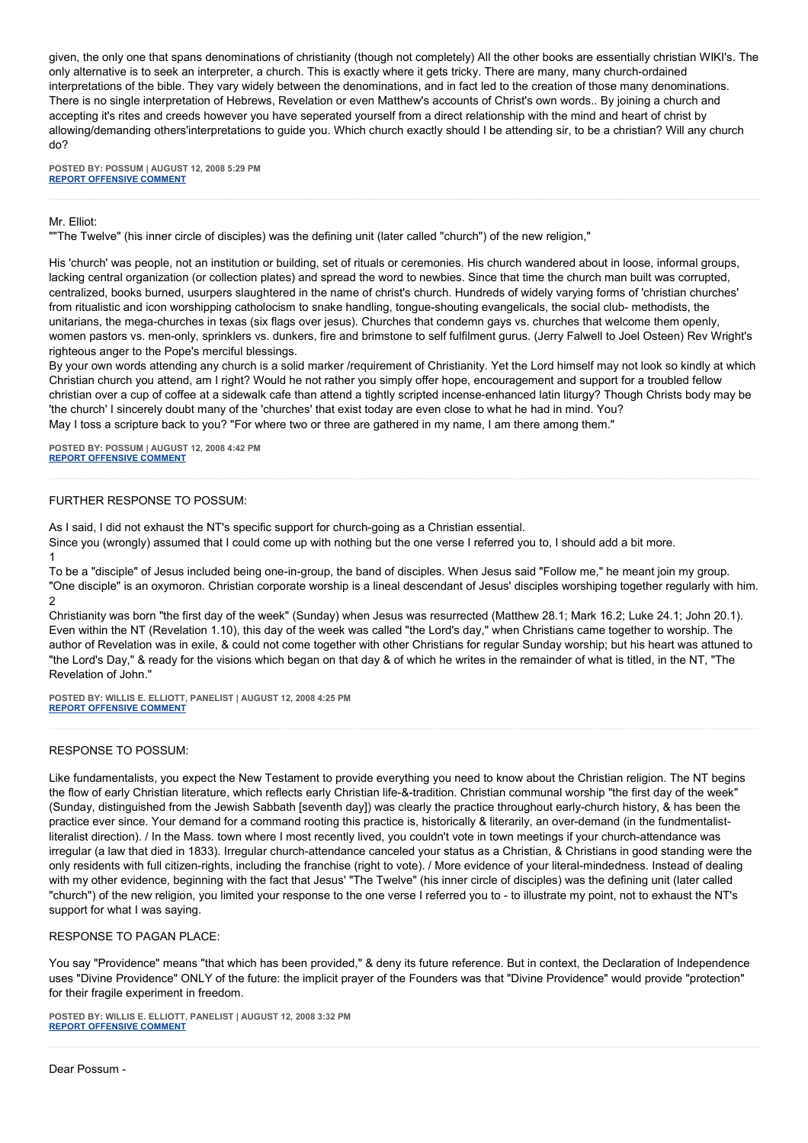given, the only one that spans denominations of christianity (though not completely) All the other books are essentially christian WIKI's. The only alternative is to seek an interpreter, a church. This is exactly where it gets tricky. There are many, many church-ordained interpretations of the bible. They vary widely between the denominations, and in fact led to the creation of those many denominations. There is no single interpretation of Hebrews, Revelation or even Matthew's accounts of Christ's own words.. By joining a church and accepting it's rites and creeds however you have seperated yourself from a direct relationship with the mind and heart of christ by allowing/demanding others'interpretations to guide you. Which church exactly should I be attending sir, to be a christian? Will any church do?

**POSTED BY: POSSUM | AUGUST 12, 2008 5:29 PM [REPORT OFFENSIVE COMMENT](mailto:blogs@washingtonpost.com?subject=On%20Faith%20Panelists%20Blog%20%20%7C%20%20Possum%20%20%7C%20%20)**

#### Mr. Elliot:

""The Twelve" (his inner circle of disciples) was the defining unit (later called "church") of the new religion,"

His 'church' was people, not an institution or building, set of rituals or ceremonies. His church wandered about in loose, informal groups, lacking central organization (or collection plates) and spread the word to newbies. Since that time the church man built was corrupted, centralized, books burned, usurpers slaughtered in the name of christ's church. Hundreds of widely varying forms of 'christian churches' from ritualistic and icon worshipping catholocism to snake handling, tongue-shouting evangelicals, the social club- methodists, the unitarians, the mega-churches in texas (six flags over jesus). Churches that condemn gays vs. churches that welcome them openly, women pastors vs. men-only, sprinklers vs. dunkers, fire and brimstone to self fulfilment gurus. (Jerry Falwell to Joel Osteen) Rev Wright's righteous anger to the Pope's merciful blessings.

By your own words attending any church is a solid marker /requirement of Christianity. Yet the Lord himself may not look so kindly at which Christian church you attend, am I right? Would he not rather you simply offer hope, encouragement and support for a troubled fellow christian over a cup of coffee at a sidewalk cafe than attend a tightly scripted incense-enhanced latin liturgy? Though Christs body may be 'the church' I sincerely doubt many of the 'churches' that exist today are even close to what he had in mind. You? May I toss a scripture back to you? "For where two or three are gathered in my name, I am there among them."

**POSTED BY: POSSUM | AUGUST 12, 2008 4:42 PM [REPORT OFFENSIVE COMMENT](mailto:blogs@washingtonpost.com?subject=On%20Faith%20Panelists%20Blog%20%20%7C%20%20Possum%20%20%7C%20%20)**

# FURTHER RESPONSE TO POSSUM:

As I said, I did not exhaust the NT's specific support for church-going as a Christian essential.

Since you (wrongly) assumed that I could come up with nothing but the one verse I referred you to, I should add a bit more.

1

To be a "disciple" of Jesus included being one-in-group, the band of disciples. When Jesus said "Follow me," he meant join my group. "One disciple" is an oxymoron. Christian corporate worship is a lineal descendant of Jesus' disciples worshiping together regularly with him. 2

Christianity was born "the first day of the week" (Sunday) when Jesus was resurrected (Matthew 28.1; Mark 16.2; Luke 24.1; John 20.1). Even within the NT (Revelation 1.10), this day of the week was called "the Lord's day," when Christians came together to worship. The author of Revelation was in exile, & could not come together with other Christians for regular Sunday worship; but his heart was attuned to "the Lord's Day," & ready for the visions which began on that day & of which he writes in the remainder of what is titled, in the NT, "The Revelation of John."

**POSTED BY: WILLIS E. ELLIOTT, PANELIST | AUGUST 12, 2008 4:25 PM [REPORT OFFENSIVE COMMENT](mailto:blogs@washingtonpost.com?subject=On%20Faith%20Panelists%20Blog%20%20%7C%20%20Willis%20E.%20Elliott,%20panelist%20%20%7C%20%20)**

## RESPONSE TO POSSUM:

Like fundamentalists, you expect the New Testament to provide everything you need to know about the Christian religion. The NT begins the flow of early Christian literature, which reflects early Christian life-&-tradition. Christian communal worship "the first day of the week" (Sunday, distinguished from the Jewish Sabbath [seventh day]) was clearly the practice throughout early-church history, & has been the practice ever since. Your demand for a command rooting this practice is, historically & literarily, an over-demand (in the fundmentalistliteralist direction). / In the Mass. town where I most recently lived, you couldn't vote in town meetings if your church-attendance was irregular (a law that died in 1833). Irregular church-attendance canceled your status as a Christian, & Christians in good standing were the only residents with full citizen-rights, including the franchise (right to vote). / More evidence of your literal-mindedness. Instead of dealing with my other evidence, beginning with the fact that Jesus' "The Twelve" (his inner circle of disciples) was the defining unit (later called "church") of the new religion, you limited your response to the one verse I referred you to - to illustrate my point, not to exhaust the NT's support for what I was saying.

## RESPONSE TO PAGAN PLACE:

You say "Providence" means "that which has been provided," & deny its future reference. But in context, the Declaration of Independence uses "Divine Providence" ONLY of the future: the implicit prayer of the Founders was that "Divine Providence" would provide "protection" for their fragile experiment in freedom.

**POSTED BY: WILLIS E. ELLIOTT, PANELIST | AUGUST 12, 2008 3:32 PM [REPORT OFFENSIVE COMMENT](mailto:blogs@washingtonpost.com?subject=On%20Faith%20Panelists%20Blog%20%20%7C%20%20Willis%20E.%20Elliott,%20panelist%20%20%7C%20%20)**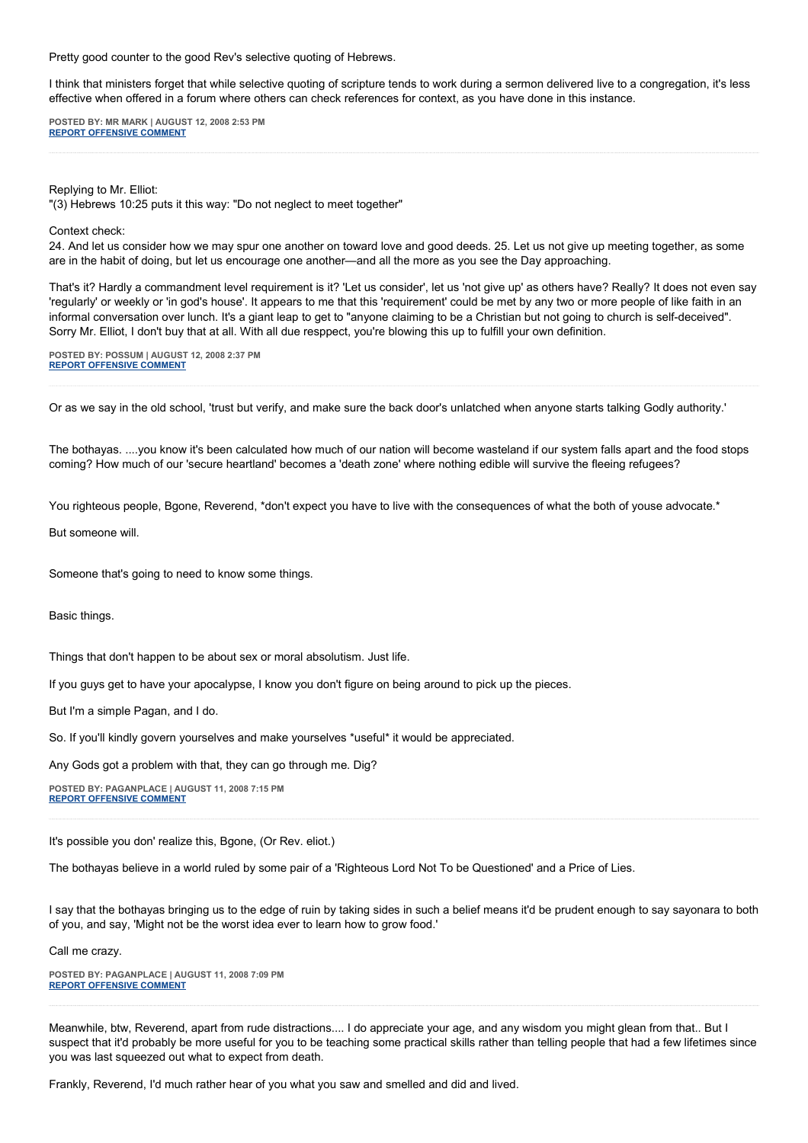Pretty good counter to the good Rev's selective quoting of Hebrews.

I think that ministers forget that while selective quoting of scripture tends to work during a sermon delivered live to a congregation, it's less effective when offered in a forum where others can check references for context, as you have done in this instance.

**POSTED BY: MR MARK | AUGUST 12, 2008 2:53 PM [REPORT OFFENSIVE COMMENT](mailto:blogs@washingtonpost.com?subject=On%20Faith%20Panelists%20Blog%20%20%7C%20%20Mr%20Mark%20%20%7C%20%20)**

Replying to Mr. Elliot:

"(3) Hebrews 10:25 puts it this way: "Do not neglect to meet together"

Context check:

24. And let us consider how we may spur one another on toward love and good deeds. 25. Let us not give up meeting together, as some are in the habit of doing, but let us encourage one another—and all the more as you see the Day approaching.

That's it? Hardly a commandment level requirement is it? 'Let us consider', let us 'not give up' as others have? Really? It does not even say 'regularly' or weekly or 'in god's house'. It appears to me that this 'requirement' could be met by any two or more people of like faith in an informal conversation over lunch. It's a giant leap to get to "anyone claiming to be a Christian but not going to church is self-deceived". Sorry Mr. Elliot, I don't buy that at all. With all due resppect, you're blowing this up to fulfill your own definition.

**POSTED BY: POSSUM | AUGUST 12, 2008 2:37 PM [REPORT OFFENSIVE COMMENT](mailto:blogs@washingtonpost.com?subject=On%20Faith%20Panelists%20Blog%20%20%7C%20%20Possum%20%20%7C%20%20)**

Or as we say in the old school, 'trust but verify, and make sure the back door's unlatched when anyone starts talking Godly authority.'

The bothayas. ....you know it's been calculated how much of our nation will become wasteland if our system falls apart and the food stops coming? How much of our 'secure heartland' becomes a 'death zone' where nothing edible will survive the fleeing refugees?

You righteous people, Bgone, Reverend, \*don't expect you have to live with the consequences of what the both of youse advocate.\*

But someone will.

Someone that's going to need to know some things.

Basic things.

Things that don't happen to be about sex or moral absolutism. Just life.

If you guys get to have your apocalypse, I know you don't figure on being around to pick up the pieces.

But I'm a simple Pagan, and I do.

So. If you'll kindly govern yourselves and make yourselves \*useful\* it would be appreciated.

Any Gods got a problem with that, they can go through me. Dig?

**POSTED BY: PAGANPLACE | AUGUST 11, 2008 7:15 PM [REPORT OFFENSIVE COMMENT](mailto:blogs@washingtonpost.com?subject=On%20Faith%20Panelists%20Blog%20%20%7C%20%20Paganplace%20%20%7C%20%20)**

It's possible you don' realize this, Bgone, (Or Rev. eliot.)

The bothayas believe in a world ruled by some pair of a 'Righteous Lord Not To be Questioned' and a Price of Lies.

I say that the bothayas bringing us to the edge of ruin by taking sides in such a belief means it'd be prudent enough to say sayonara to both of you, and say, 'Might not be the worst idea ever to learn how to grow food.'

Call me crazy.

**POSTED BY: PAGANPLACE | AUGUST 11, 2008 7:09 PM [REPORT OFFENSIVE COMMENT](mailto:blogs@washingtonpost.com?subject=On%20Faith%20Panelists%20Blog%20%20%7C%20%20Paganplace%20%20%7C%20%20)**

Meanwhile, btw, Reverend, apart from rude distractions.... I do appreciate your age, and any wisdom you might glean from that.. But I suspect that it'd probably be more useful for you to be teaching some practical skills rather than telling people that had a few lifetimes since you was last squeezed out what to expect from death.

Frankly, Reverend, I'd much rather hear of you what you saw and smelled and did and lived.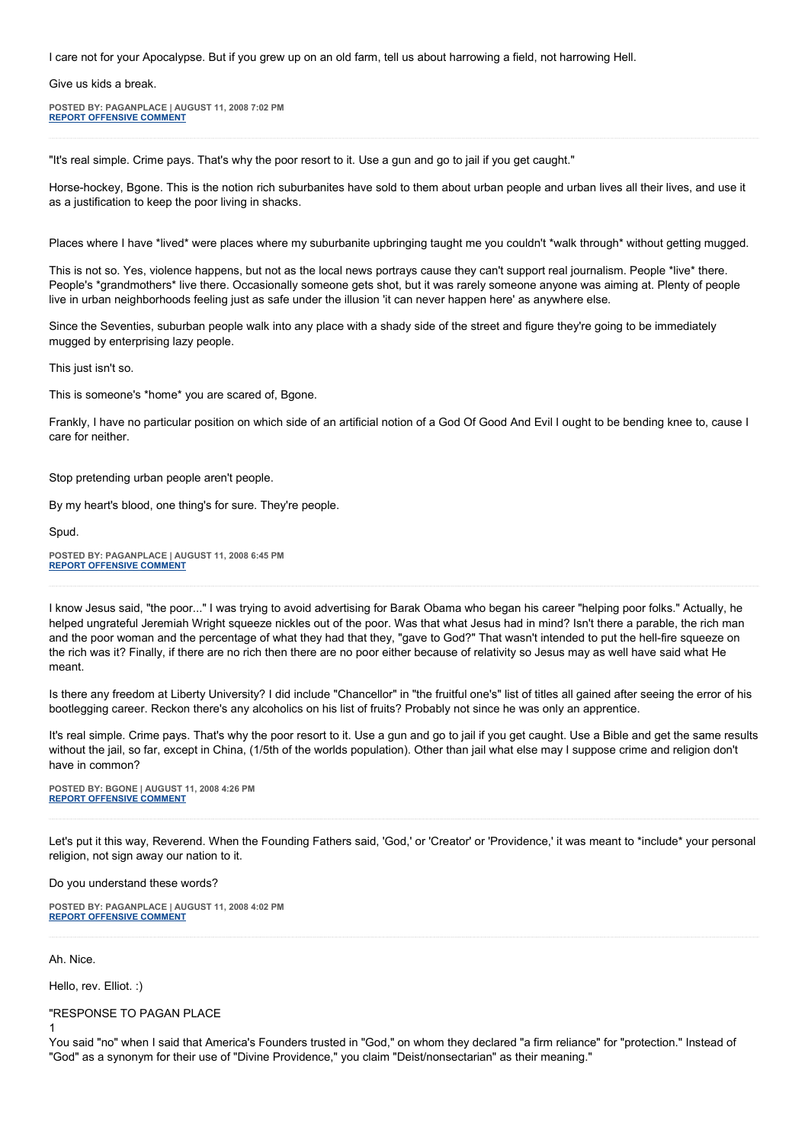I care not for your Apocalypse. But if you grew up on an old farm, tell us about harrowing a field, not harrowing Hell.

Give us kids a break.

**POSTED BY: PAGANPLACE | AUGUST 11, 2008 7:02 PM [REPORT OFFENSIVE COMMENT](mailto:blogs@washingtonpost.com?subject=On%20Faith%20Panelists%20Blog%20%20%7C%20%20Paganplace%20%20%7C%20%20)**

"It's real simple. Crime pays. That's why the poor resort to it. Use a gun and go to jail if you get caught."

Horse-hockey, Bgone. This is the notion rich suburbanites have sold to them about urban people and urban lives all their lives, and use it as a justification to keep the poor living in shacks.

Places where I have \*lived\* were places where my suburbanite upbringing taught me you couldn't \*walk through\* without getting mugged.

This is not so. Yes, violence happens, but not as the local news portrays cause they can't support real journalism. People \*live\* there. People's \*grandmothers\* live there. Occasionally someone gets shot, but it was rarely someone anyone was aiming at. Plenty of people live in urban neighborhoods feeling just as safe under the illusion 'it can never happen here' as anywhere else.

Since the Seventies, suburban people walk into any place with a shady side of the street and figure they're going to be immediately mugged by enterprising lazy people.

This just isn't so.

This is someone's \*home\* you are scared of, Bgone.

Frankly, I have no particular position on which side of an artificial notion of a God Of Good And Evil I ought to be bending knee to, cause I care for neither.

Stop pretending urban people aren't people.

By my heart's blood, one thing's for sure. They're people.

Spud.

**POSTED BY: PAGANPLACE | AUGUST 11, 2008 6:45 PM [REPORT OFFENSIVE COMMENT](mailto:blogs@washingtonpost.com?subject=On%20Faith%20Panelists%20Blog%20%20%7C%20%20Paganplace%20%20%7C%20%20)**

I know Jesus said, "the poor..." I was trying to avoid advertising for Barak Obama who began his career "helping poor folks." Actually, he helped ungrateful Jeremiah Wright squeeze nickles out of the poor. Was that what Jesus had in mind? Isn't there a parable, the rich man and the poor woman and the percentage of what they had that they, "gave to God?" That wasn't intended to put the hell-fire squeeze on the rich was it? Finally, if there are no rich then there are no poor either because of relativity so Jesus may as well have said what He meant.

Is there any freedom at Liberty University? I did include "Chancellor" in "the fruitful one's" list of titles all gained after seeing the error of his bootlegging career. Reckon there's any alcoholics on his list of fruits? Probably not since he was only an apprentice.

It's real simple. Crime pays. That's why the poor resort to it. Use a gun and go to jail if you get caught. Use a Bible and get the same results without the jail, so far, except in China, (1/5th of the worlds population). Other than jail what else may I suppose crime and religion don't have in common?

**POSTED BY: BGONE | AUGUST 11, 2008 4:26 PM [REPORT OFFENSIVE COMMENT](mailto:blogs@washingtonpost.com?subject=On%20Faith%20Panelists%20Blog%20%20%7C%20%20BGone%20%20%7C%20%20)**

Let's put it this way, Reverend. When the Founding Fathers said, 'God,' or 'Creator' or 'Providence,' it was meant to \*include\* your personal religion, not sign away our nation to it.

Do you understand these words?

**POSTED BY: PAGANPLACE | AUGUST 11, 2008 4:02 PM [REPORT OFFENSIVE COMMENT](mailto:blogs@washingtonpost.com?subject=On%20Faith%20Panelists%20Blog%20%20%7C%20%20Paganplace%20%20%7C%20%20)**

Ah. Nice.

1

Hello, rev. Elliot. :)

"RESPONSE TO PAGAN PLACE

You said "no" when I said that America's Founders trusted in "God," on whom they declared "a firm reliance" for "protection." Instead of "God" as a synonym for their use of "Divine Providence," you claim "Deist/nonsectarian" as their meaning."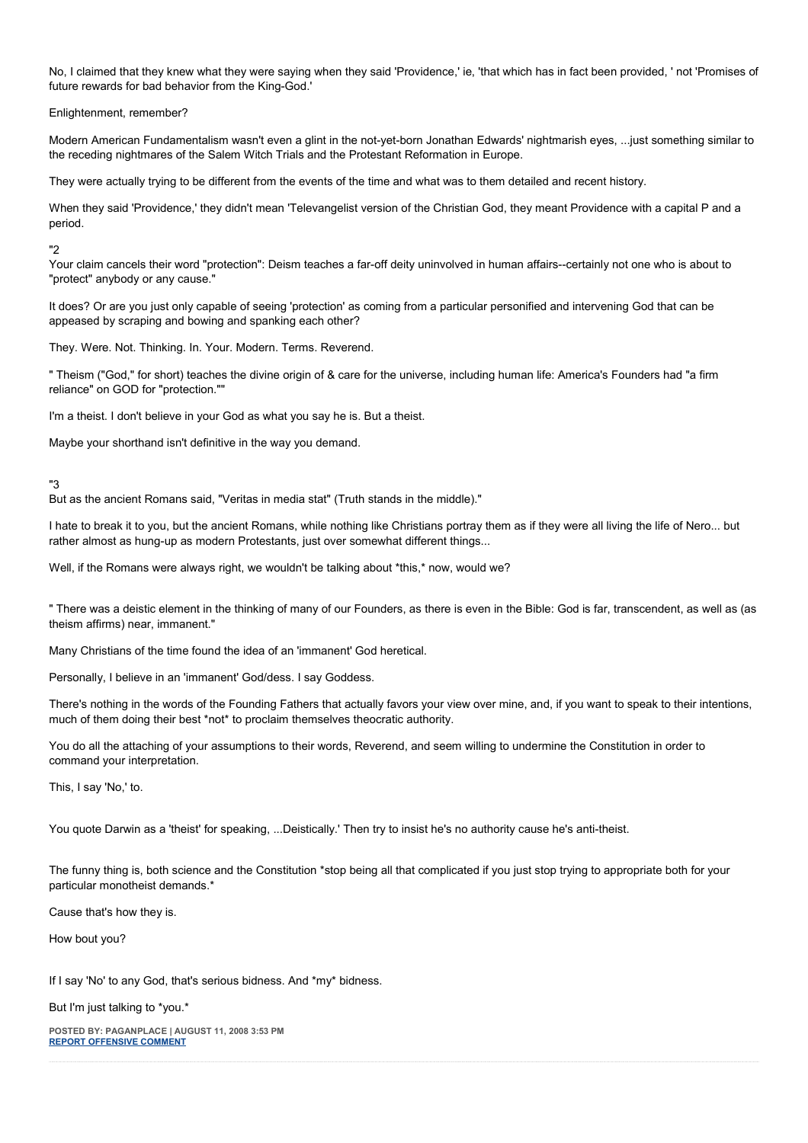No, I claimed that they knew what they were saying when they said 'Providence,' ie, 'that which has in fact been provided, ' not 'Promises of future rewards for bad behavior from the King-God.'

Enlightenment, remember?

Modern American Fundamentalism wasn't even a glint in the not-yet-born Jonathan Edwards' nightmarish eyes, ...just something similar to the receding nightmares of the Salem Witch Trials and the Protestant Reformation in Europe.

They were actually trying to be different from the events of the time and what was to them detailed and recent history.

When they said 'Providence,' they didn't mean 'Televangelist version of the Christian God, they meant Providence with a capital P and a period.

#### "2

Your claim cancels their word "protection": Deism teaches a far-off deity uninvolved in human affairs--certainly not one who is about to "protect" anybody or any cause."

It does? Or are you just only capable of seeing 'protection' as coming from a particular personified and intervening God that can be appeased by scraping and bowing and spanking each other?

They. Were. Not. Thinking. In. Your. Modern. Terms. Reverend.

" Theism ("God," for short) teaches the divine origin of & care for the universe, including human life: America's Founders had "a firm reliance" on GOD for "protection.""

I'm a theist. I don't believe in your God as what you say he is. But a theist.

Maybe your shorthand isn't definitive in the way you demand.

## "3

But as the ancient Romans said, "Veritas in media stat" (Truth stands in the middle)."

I hate to break it to you, but the ancient Romans, while nothing like Christians portray them as if they were all living the life of Nero... but rather almost as hung-up as modern Protestants, just over somewhat different things...

Well, if the Romans were always right, we wouldn't be talking about \*this,\* now, would we?

" There was a deistic element in the thinking of many of our Founders, as there is even in the Bible: God is far, transcendent, as well as (as theism affirms) near, immanent."

Many Christians of the time found the idea of an 'immanent' God heretical.

Personally, I believe in an 'immanent' God/dess. I say Goddess.

There's nothing in the words of the Founding Fathers that actually favors your view over mine, and, if you want to speak to their intentions, much of them doing their best \*not\* to proclaim themselves theocratic authority.

You do all the attaching of your assumptions to their words, Reverend, and seem willing to undermine the Constitution in order to command your interpretation.

This, I say 'No,' to.

You quote Darwin as a 'theist' for speaking, ...Deistically.' Then try to insist he's no authority cause he's anti-theist.

The funny thing is, both science and the Constitution \*stop being all that complicated if you just stop trying to appropriate both for your particular monotheist demands.\*

Cause that's how they is.

How bout you?

If I say 'No' to any God, that's serious bidness. And \*my\* bidness.

But I'm just talking to \*you.\*

**POSTED BY: PAGANPLACE | AUGUST 11, 2008 3:53 PM [REPORT OFFENSIVE COMMENT](mailto:blogs@washingtonpost.com?subject=On%20Faith%20Panelists%20Blog%20%20%7C%20%20Paganplace%20%20%7C%20%20)**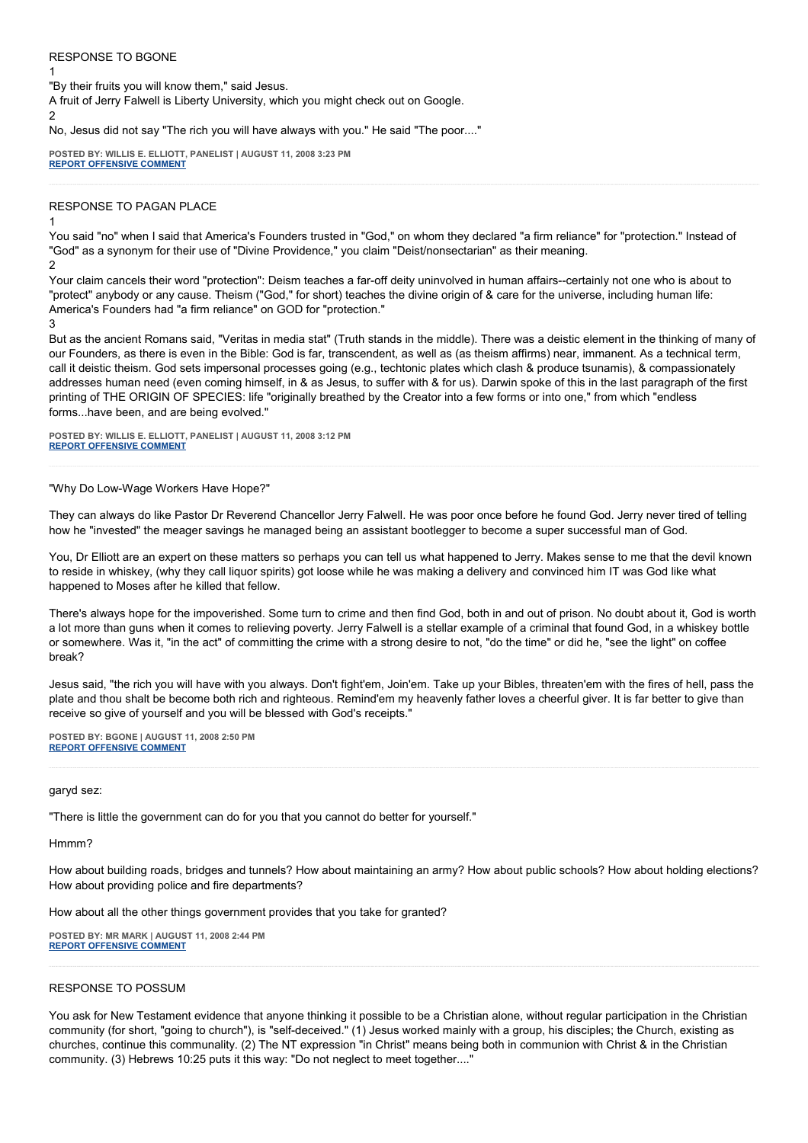### RESPONSE TO BGONE

"By their fruits you will know them," said Jesus.

A fruit of Jerry Falwell is Liberty University, which you might check out on Google.

2

1

No, Jesus did not say "The rich you will have always with you." He said "The poor...."

**POSTED BY: WILLIS E. ELLIOTT, PANELIST | AUGUST 11, 2008 3:23 PM [REPORT OFFENSIVE COMMENT](mailto:blogs@washingtonpost.com?subject=On%20Faith%20Panelists%20Blog%20%20%7C%20%20Willis%20E.%20Elliott,%20panelist%20%20%7C%20%20)**

#### RESPONSE TO PAGAN PLACE

1

You said "no" when I said that America's Founders trusted in "God," on whom they declared "a firm reliance" for "protection." Instead of "God" as a synonym for their use of "Divine Providence," you claim "Deist/nonsectarian" as their meaning. 2

Your claim cancels their word "protection": Deism teaches a far-off deity uninvolved in human affairs--certainly not one who is about to "protect" anybody or any cause. Theism ("God," for short) teaches the divine origin of & care for the universe, including human life: America's Founders had "a firm reliance" on GOD for "protection."

3

But as the ancient Romans said, "Veritas in media stat" (Truth stands in the middle). There was a deistic element in the thinking of many of our Founders, as there is even in the Bible: God is far, transcendent, as well as (as theism affirms) near, immanent. As a technical term, call it deistic theism. God sets impersonal processes going (e.g., techtonic plates which clash & produce tsunamis), & compassionately addresses human need (even coming himself, in & as Jesus, to suffer with & for us). Darwin spoke of this in the last paragraph of the first printing of THE ORIGIN OF SPECIES: life "originally breathed by the Creator into a few forms or into one," from which "endless forms...have been, and are being evolved."

**POSTED BY: WILLIS E. ELLIOTT, PANELIST | AUGUST 11, 2008 3:12 PM [REPORT OFFENSIVE COMMENT](mailto:blogs@washingtonpost.com?subject=On%20Faith%20Panelists%20Blog%20%20%7C%20%20Willis%20E.%20Elliott,%20panelist%20%20%7C%20%20)**

#### "Why Do Low-Wage Workers Have Hope?"

They can always do like Pastor Dr Reverend Chancellor Jerry Falwell. He was poor once before he found God. Jerry never tired of telling how he "invested" the meager savings he managed being an assistant bootlegger to become a super successful man of God.

You, Dr Elliott are an expert on these matters so perhaps you can tell us what happened to Jerry. Makes sense to me that the devil known to reside in whiskey, (why they call liquor spirits) got loose while he was making a delivery and convinced him IT was God like what happened to Moses after he killed that fellow.

There's always hope for the impoverished. Some turn to crime and then find God, both in and out of prison. No doubt about it, God is worth a lot more than guns when it comes to relieving poverty. Jerry Falwell is a stellar example of a criminal that found God, in a whiskey bottle or somewhere. Was it, "in the act" of committing the crime with a strong desire to not, "do the time" or did he, "see the light" on coffee break?

Jesus said, "the rich you will have with you always. Don't fight'em, Join'em. Take up your Bibles, threaten'em with the fires of hell, pass the plate and thou shalt be become both rich and righteous. Remind'em my heavenly father loves a cheerful giver. It is far better to give than receive so give of yourself and you will be blessed with God's receipts."

**POSTED BY: BGONE | AUGUST 11, 2008 2:50 PM [REPORT OFFENSIVE COMMENT](mailto:blogs@washingtonpost.com?subject=On%20Faith%20Panelists%20Blog%20%20%7C%20%20BGone%20%20%7C%20%20)**

#### garyd sez:

"There is little the government can do for you that you cannot do better for yourself."

Hmmm?

How about building roads, bridges and tunnels? How about maintaining an army? How about public schools? How about holding elections? How about providing police and fire departments?

How about all the other things government provides that you take for granted?

**POSTED BY: MR MARK | AUGUST 11, 2008 2:44 PM [REPORT OFFENSIVE COMMENT](mailto:blogs@washingtonpost.com?subject=On%20Faith%20Panelists%20Blog%20%20%7C%20%20Mr%20Mark%20%20%7C%20%20)**

## RESPONSE TO POSSUM

You ask for New Testament evidence that anyone thinking it possible to be a Christian alone, without regular participation in the Christian community (for short, "going to church"), is "self-deceived." (1) Jesus worked mainly with a group, his disciples; the Church, existing as churches, continue this communality. (2) The NT expression "in Christ" means being both in communion with Christ & in the Christian community. (3) Hebrews 10:25 puts it this way: "Do not neglect to meet together...."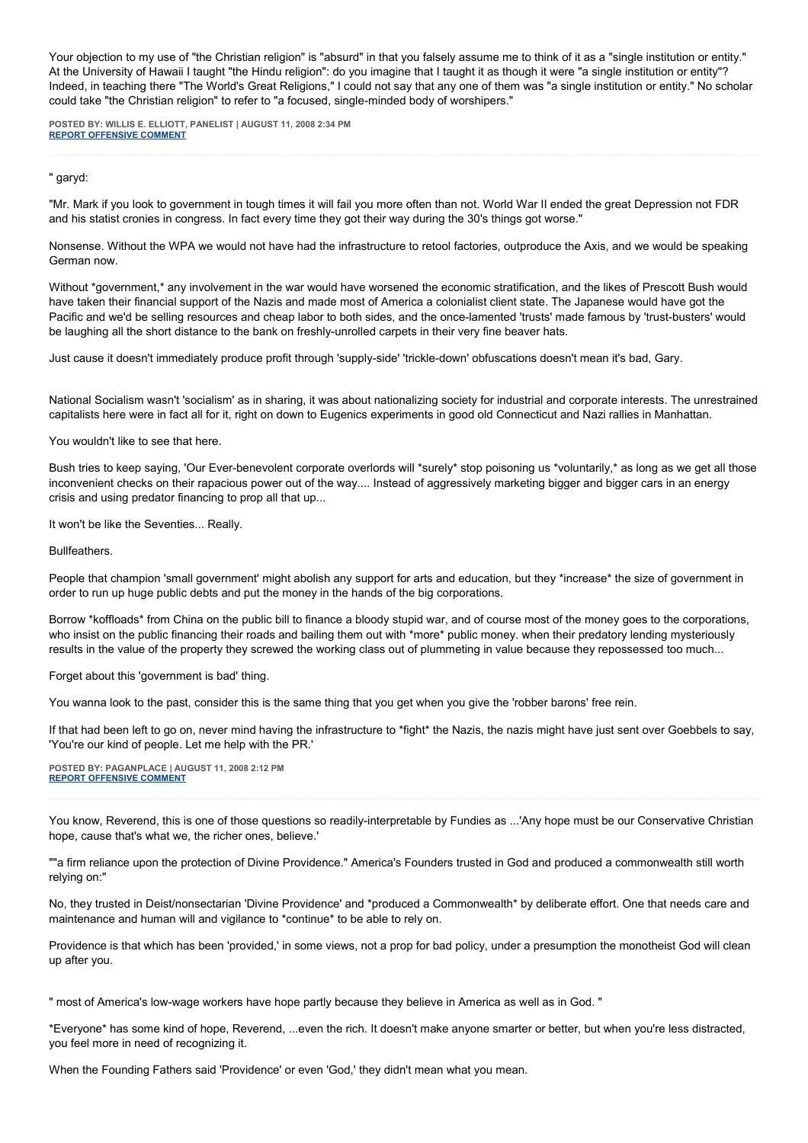Your objection to my use of "the Christian religion" is "absurd" in that you falsely assume me to think of it as a "single institution or entity." At the University of Hawaii I taught "the Hindu religion": do you imagine that I taught it as though it were "a single institution or entity"? Indeed, in teaching there "The World's Great Religions," I could not say that any one of them was "a single institution or entity." No scholar could take "the Christian religion" to refer to "a focused, single-minded body of worshipers."

**POSTED BY: WILLIS E. ELLIOTT, PANELIST | AUGUST 11, 2008 2:34 PM [REPORT OFFENSIVE COMMENT](mailto:blogs@washingtonpost.com?subject=On%20Faith%20Panelists%20Blog%20%20%7C%20%20Willis%20E.%20Elliott,%20panelist%20%20%7C%20%20)**

" garyd:

"Mr. Mark if you look to government in tough times it will fail you more often than not. World War II ended the great Depression not FDR and his statist cronies in congress. In fact every time they got their way during the 30's things got worse."

Nonsense. Without the WPA we would not have had the infrastructure to retool factories, outproduce the Axis, and we would be speaking German now.

Without \*government,\* any involvement in the war would have worsened the economic stratification, and the likes of Prescott Bush would have taken their financial support of the Nazis and made most of America a colonialist client state. The Japanese would have got the Pacific and we'd be selling resources and cheap labor to both sides, and the once-lamented 'trusts' made famous by 'trust-busters' would be laughing all the short distance to the bank on freshly-unrolled carpets in their very fine beaver hats.

Just cause it doesn't immediately produce profit through 'supply-side' 'trickle-down' obfuscations doesn't mean it's bad, Gary.

National Socialism wasn't 'socialism' as in sharing, it was about nationalizing society for industrial and corporate interests. The unrestrained capitalists here were in fact all for it, right on down to Eugenics experiments in good old Connecticut and Nazi rallies in Manhattan.

You wouldn't like to see that here.

Bush tries to keep saying, 'Our Ever-benevolent corporate overlords will \*surely\* stop poisoning us \*voluntarily,\* as long as we get all those inconvenient checks on their rapacious power out of the way.... Instead of aggressively marketing bigger and bigger cars in an energy crisis and using predator financing to prop all that up...

It won't be like the Seventies... Really.

Bullfeathers.

People that champion 'small government' might abolish any support for arts and education, but they \*increase\* the size of government in order to run up huge public debts and put the money in the hands of the big corporations.

Borrow \*koffloads\* from China on the public bill to finance a bloody stupid war, and of course most of the money goes to the corporations, who insist on the public financing their roads and bailing them out with \*more\* public money. when their predatory lending mysteriously results in the value of the property they screwed the working class out of plummeting in value because they repossessed too much...

Forget about this 'government is bad' thing.

You wanna look to the past, consider this is the same thing that you get when you give the 'robber barons' free rein.

If that had been left to go on, never mind having the infrastructure to \*fight\* the Nazis, the nazis might have just sent over Goebbels to say, 'You're our kind of people. Let me help with the PR.'

**POSTED BY: PAGANPLACE | AUGUST 11, 2008 2:12 PM [REPORT OFFENSIVE COMMENT](mailto:blogs@washingtonpost.com?subject=On%20Faith%20Panelists%20Blog%20%20%7C%20%20Paganplace%20%20%7C%20%20)**

You know, Reverend, this is one of those questions so readily-interpretable by Fundies as ...'Any hope must be our Conservative Christian hope, cause that's what we, the richer ones, believe.'

""a firm reliance upon the protection of Divine Providence." America's Founders trusted in God and produced a commonwealth still worth relying on:"

No, they trusted in Deist/nonsectarian 'Divine Providence' and \*produced a Commonwealth\* by deliberate effort. One that needs care and maintenance and human will and vigilance to \*continue\* to be able to rely on.

Providence is that which has been 'provided,' in some views, not a prop for bad policy, under a presumption the monotheist God will clean up after you.

" most of America's low-wage workers have hope partly because they believe in America as well as in God. "

\*Everyone\* has some kind of hope, Reverend, ...even the rich. It doesn't make anyone smarter or better, but when you're less distracted, you feel more in need of recognizing it.

When the Founding Fathers said 'Providence' or even 'God,' they didn't mean what you mean.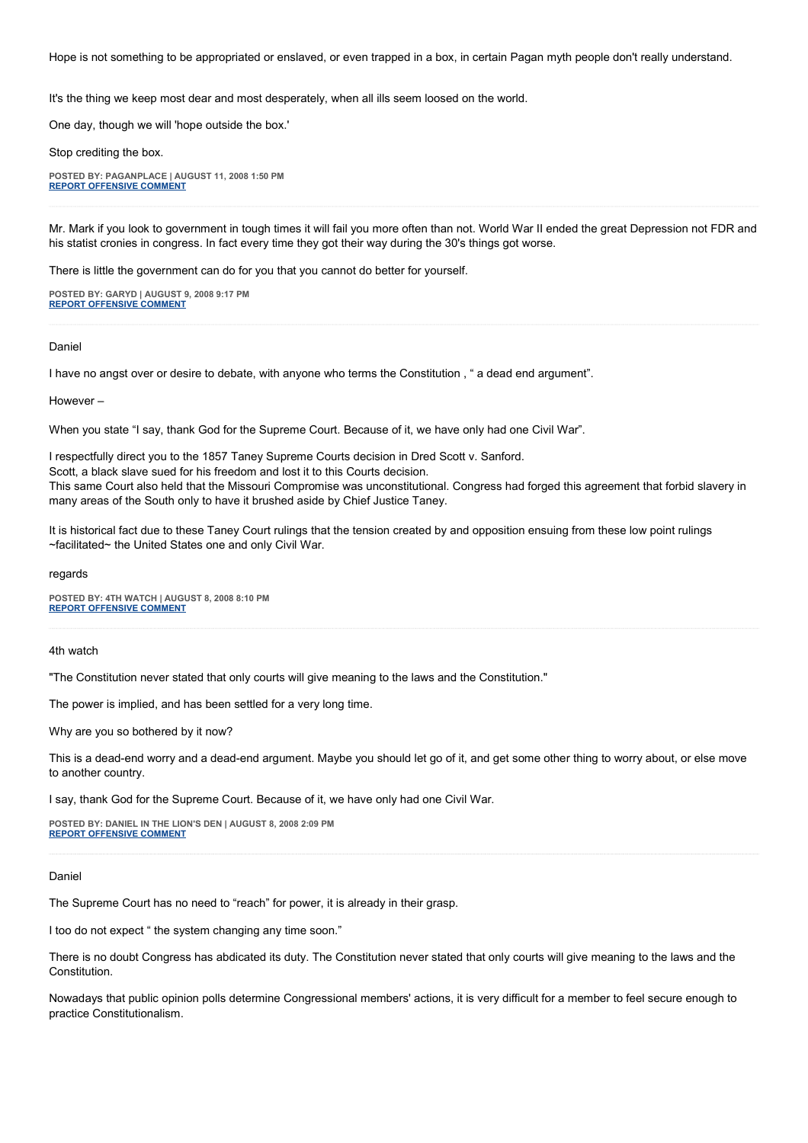Hope is not something to be appropriated or enslaved, or even trapped in a box, in certain Pagan myth people don't really understand.

It's the thing we keep most dear and most desperately, when all ills seem loosed on the world.

One day, though we will 'hope outside the box.'

Stop crediting the box.

**POSTED BY: PAGANPLACE | AUGUST 11, 2008 1:50 PM [REPORT OFFENSIVE COMMENT](mailto:blogs@washingtonpost.com?subject=On%20Faith%20Panelists%20Blog%20%20%7C%20%20Paganplace%20%20%7C%20%20)**

Mr. Mark if you look to government in tough times it will fail you more often than not. World War II ended the great Depression not FDR and his statist cronies in congress. In fact every time they got their way during the 30's things got worse.

There is little the government can do for you that you cannot do better for yourself.

**POSTED BY: GARYD | AUGUST 9, 2008 9:17 PM [REPORT OFFENSIVE COMMENT](mailto:blogs@washingtonpost.com?subject=On%20Faith%20Panelists%20Blog%20%20%7C%20%20garyd%20%20%7C%20%20)**

#### Daniel

I have no angst over or desire to debate, with anyone who terms the Constitution , " a dead end argument".

However –

When you state "I say, thank God for the Supreme Court. Because of it, we have only had one Civil War".

I respectfully direct you to the 1857 Taney Supreme Courts decision in Dred Scott v. Sanford. Scott, a black slave sued for his freedom and lost it to this Courts decision. This same Court also held that the Missouri Compromise was unconstitutional. Congress had forged this agreement that forbid slavery in many areas of the South only to have it brushed aside by Chief Justice Taney.

It is historical fact due to these Taney Court rulings that the tension created by and opposition ensuing from these low point rulings ~facilitated~ the United States one and only Civil War.

regards

**POSTED BY: 4TH WATCH | AUGUST 8, 2008 8:10 PM [REPORT OFFENSIVE COMMENT](mailto:blogs@washingtonpost.com?subject=On%20Faith%20Panelists%20Blog%20%20%7C%20%204th%20watch%20%20%7C%20%20)**

#### 4th watch

"The Constitution never stated that only courts will give meaning to the laws and the Constitution."

The power is implied, and has been settled for a very long time.

Why are you so bothered by it now?

This is a dead-end worry and a dead-end argument. Maybe you should let go of it, and get some other thing to worry about, or else move to another country.

I say, thank God for the Supreme Court. Because of it, we have only had one Civil War.

**POSTED BY: DANIEL IN THE LION'S DEN | AUGUST 8, 2008 2:09 PM [REPORT OFFENSIVE COMMENT](mailto:blogs@washingtonpost.com?subject=On%20Faith%20Panelists%20Blog%20%20%7C%20%20Daniel%20in%20the%20Lion)**

#### Daniel

The Supreme Court has no need to "reach" for power, it is already in their grasp.

I too do not expect " the system changing any time soon."

There is no doubt Congress has abdicated its duty. The Constitution never stated that only courts will give meaning to the laws and the Constitution.

Nowadays that public opinion polls determine Congressional members' actions, it is very difficult for a member to feel secure enough to practice Constitutionalism.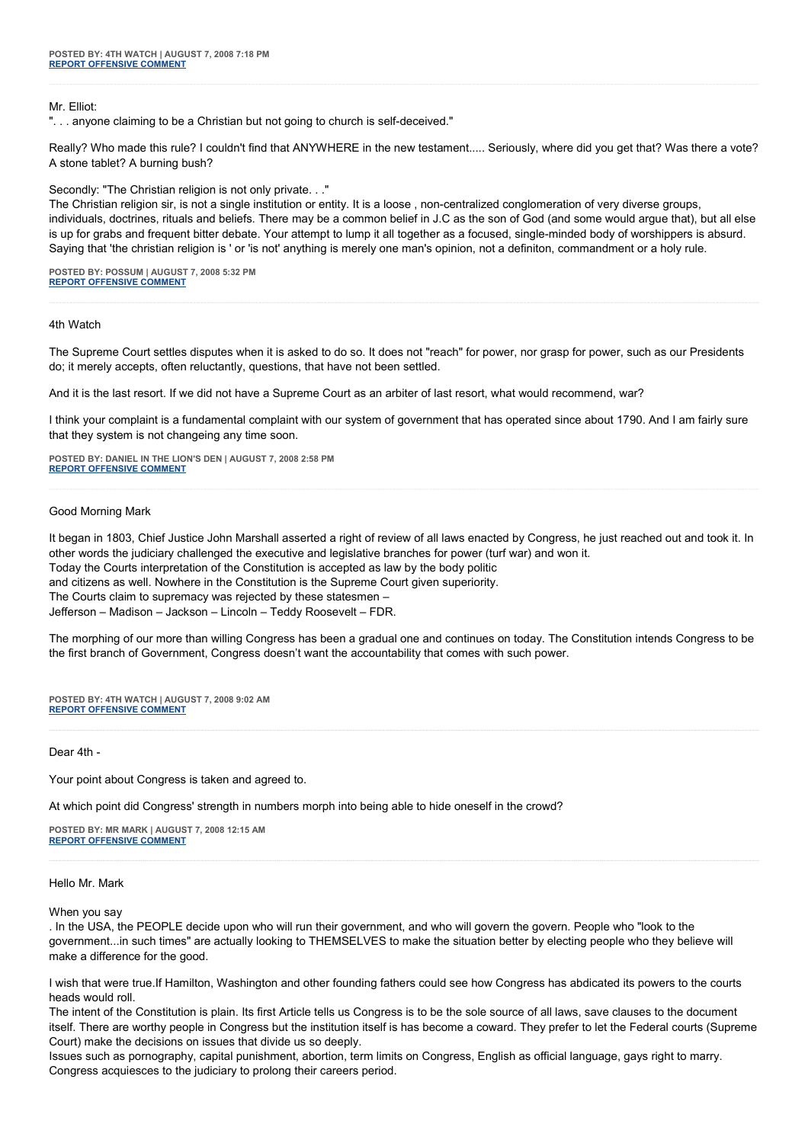Mr. Elliot:

". . . anyone claiming to be a Christian but not going to church is self-deceived."

Really? Who made this rule? I couldn't find that ANYWHERE in the new testament..... Seriously, where did you get that? Was there a vote? A stone tablet? A burning bush?

Secondly: "The Christian religion is not only private. . ."

The Christian religion sir, is not a single institution or entity. It is a loose , non-centralized conglomeration of very diverse groups, individuals, doctrines, rituals and beliefs. There may be a common belief in J.C as the son of God (and some would argue that), but all else is up for grabs and frequent bitter debate. Your attempt to lump it all together as a focused, single-minded body of worshippers is absurd. Saying that 'the christian religion is ' or 'is not' anything is merely one man's opinion, not a definiton, commandment or a holy rule.

**POSTED BY: POSSUM | AUGUST 7, 2008 5:32 PM [REPORT OFFENSIVE COMMENT](mailto:blogs@washingtonpost.com?subject=On%20Faith%20Panelists%20Blog%20%20%7C%20%20Possum%20%20%7C%20%20)**

4th Watch

The Supreme Court settles disputes when it is asked to do so. It does not "reach" for power, nor grasp for power, such as our Presidents do; it merely accepts, often reluctantly, questions, that have not been settled.

And it is the last resort. If we did not have a Supreme Court as an arbiter of last resort, what would recommend, war?

I think your complaint is a fundamental complaint with our system of government that has operated since about 1790. And I am fairly sure that they system is not changeing any time soon.

**POSTED BY: DANIEL IN THE LION'S DEN | AUGUST 7, 2008 2:58 PM [REPORT OFFENSIVE COMMENT](mailto:blogs@washingtonpost.com?subject=On%20Faith%20Panelists%20Blog%20%20%7C%20%20Daniel%20in%20the%20Lion)**

Good Morning Mark

It began in 1803, Chief Justice John Marshall asserted a right of review of all laws enacted by Congress, he just reached out and took it. In other words the judiciary challenged the executive and legislative branches for power (turf war) and won it.

Today the Courts interpretation of the Constitution is accepted as law by the body politic

and citizens as well. Nowhere in the Constitution is the Supreme Court given superiority.

The Courts claim to supremacy was rejected by these statesmen –

Jefferson – Madison – Jackson – Lincoln – Teddy Roosevelt – FDR.

The morphing of our more than willing Congress has been a gradual one and continues on today. The Constitution intends Congress to be the first branch of Government, Congress doesn't want the accountability that comes with such power.

**POSTED BY: 4TH WATCH | AUGUST 7, 2008 9:02 AM [REPORT OFFENSIVE COMMENT](mailto:blogs@washingtonpost.com?subject=On%20Faith%20Panelists%20Blog%20%20%7C%20%204th%20watch%20%20%7C%20%20)**

Dear 4th -

Your point about Congress is taken and agreed to.

At which point did Congress' strength in numbers morph into being able to hide oneself in the crowd?

**POSTED BY: MR MARK | AUGUST 7, 2008 12:15 AM [REPORT OFFENSIVE COMMENT](mailto:blogs@washingtonpost.com?subject=On%20Faith%20Panelists%20Blog%20%20%7C%20%20Mr%20Mark%20%20%7C%20%20)**

## Hello Mr. Mark

#### When you say

. In the USA, the PEOPLE decide upon who will run their government, and who will govern the govern. People who "look to the government...in such times" are actually looking to THEMSELVES to make the situation better by electing people who they believe will make a difference for the good.

I wish that were true.If Hamilton, Washington and other founding fathers could see how Congress has abdicated its powers to the courts heads would roll.

The intent of the Constitution is plain. Its first Article tells us Congress is to be the sole source of all laws, save clauses to the document itself. There are worthy people in Congress but the institution itself is has become a coward. They prefer to let the Federal courts (Supreme Court) make the decisions on issues that divide us so deeply.

Issues such as pornography, capital punishment, abortion, term limits on Congress, English as official language, gays right to marry. Congress acquiesces to the judiciary to prolong their careers period.